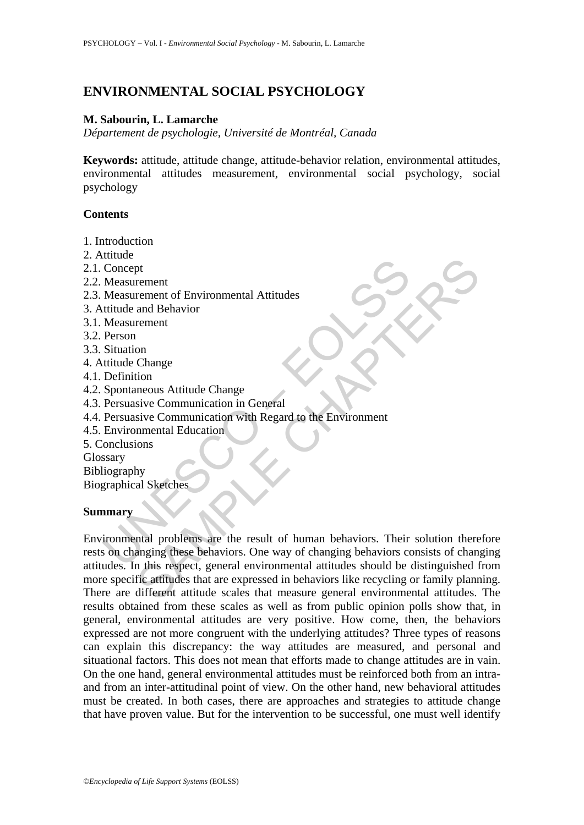# **ENVIRONMENTAL SOCIAL PSYCHOLOGY**

# **M. Sabourin, L. Lamarche**

*Département de psychologie, Université de Montréal, Canada* 

**Keywords:** attitude, attitude change, attitude-behavior relation, environmental attitudes, environmental attitudes measurement, environmental social psychology, social psychology

### **Contents**

- 1. Introduction
- 2. Attitude
- 2.1. Concept
- 2.2. Measurement
- 2.3. Measurement of Environmental Attitudes
- 3. Attitude and Behavior
- 3.1. Measurement
- 3.2. Person
- 3.3. Situation
- 4. Attitude Change
- 4.1. Definition
- 4.2. Spontaneous Attitude Change
- 4.3. Persuasive Communication in General
- 4.4. Persuasive Communication with Regard to the Environment
- 4.5. Environmental Education

5. Conclusions

Glossary

Bibliography

Biographical Sketches

### **Summary**

Concept<br>
Measurement<br>
Measurement<br>
Measurement<br>
Measurement<br>
Measurement<br>
Measurement<br>
Measurement<br>
Person<br>
Person<br>
Situation<br>
Person<br>
Situation<br>
Person<br>
Situation<br>
Spontaneous Attitude Change<br>
Definition<br>
Spontaneous Atti pt<br>
rement<br>
and Behavior<br>
and Behavior<br>
and Behavior<br>
change<br>
Change<br>
Change<br>
Change<br>
communication in General<br>
communication with Regard to the Environment<br>
since Communication<br>
whal Sketches<br>
by<br>
al Sketches<br>
by<br>
al Sket Environmental problems are the result of human behaviors. Their solution therefore rests on changing these behaviors. One way of changing behaviors consists of changing attitudes. In this respect, general environmental attitudes should be distinguished from more specific attitudes that are expressed in behaviors like recycling or family planning. There are different attitude scales that measure general environmental attitudes. The results obtained from these scales as well as from public opinion polls show that, in general, environmental attitudes are very positive. How come, then, the behaviors expressed are not more congruent with the underlying attitudes? Three types of reasons can explain this discrepancy: the way attitudes are measured, and personal and situational factors. This does not mean that efforts made to change attitudes are in vain. On the one hand, general environmental attitudes must be reinforced both from an intraand from an inter-attitudinal point of view. On the other hand, new behavioral attitudes must be created. In both cases, there are approaches and strategies to attitude change that have proven value. But for the intervention to be successful, one must well identify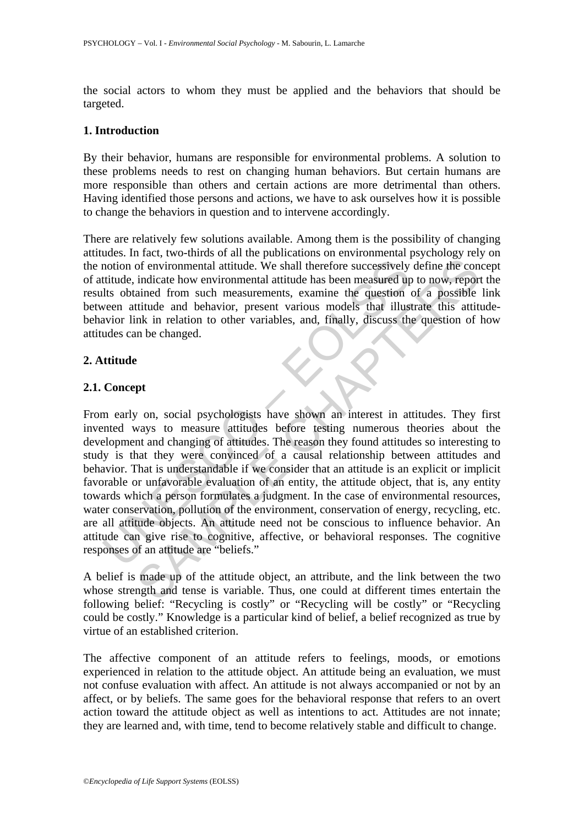the social actors to whom they must be applied and the behaviors that should be targeted.

### **1. Introduction**

By their behavior, humans are responsible for environmental problems. A solution to these problems needs to rest on changing human behaviors. But certain humans are more responsible than others and certain actions are more detrimental than others. Having identified those persons and actions, we have to ask ourselves how it is possible to change the behaviors in question and to intervene accordingly.

There are relatively few solutions available. Among them is the possibility of changing attitudes. In fact, two-thirds of all the publications on environmental psychology rely on the notion of environmental attitude. We shall therefore successively define the concept of attitude, indicate how environmental attitude has been measured up to now, report the results obtained from such measurements, examine the question of a possible link between attitude and behavior, present various models that illustrate this attitudebehavior link in relation to other variables, and, finally, discuss the question of how attitudes can be changed.

# **2. Attitude**

# **2.1. Concept**

motion of environmental attitude. We shall therefore successively<br>titutide, indicate how environmental attitude has been measured up<br>this obtained from such measurements, examine the question of<br>this in relation to other v The matrice was the state of the state of the state of the state of the state of the state and the state how environmental attitude has been measured up to now, reported and from such measurements, examine the question of From early on, social psychologists have shown an interest in attitudes. They first invented ways to measure attitudes before testing numerous theories about the development and changing of attitudes. The reason they found attitudes so interesting to study is that they were convinced of a causal relationship between attitudes and behavior. That is understandable if we consider that an attitude is an explicit or implicit favorable or unfavorable evaluation of an entity, the attitude object, that is, any entity towards which a person formulates a judgment. In the case of environmental resources, water conservation, pollution of the environment, conservation of energy, recycling, etc. are all attitude objects. An attitude need not be conscious to influence behavior. An attitude can give rise to cognitive, affective, or behavioral responses. The cognitive responses of an attitude are "beliefs."

A belief is made up of the attitude object, an attribute, and the link between the two whose strength and tense is variable. Thus, one could at different times entertain the following belief: "Recycling is costly" or "Recycling will be costly" or "Recycling could be costly." Knowledge is a particular kind of belief, a belief recognized as true by virtue of an established criterion.

The affective component of an attitude refers to feelings, moods, or emotions experienced in relation to the attitude object. An attitude being an evaluation, we must not confuse evaluation with affect. An attitude is not always accompanied or not by an affect, or by beliefs. The same goes for the behavioral response that refers to an overt action toward the attitude object as well as intentions to act. Attitudes are not innate; they are learned and, with time, tend to become relatively stable and difficult to change.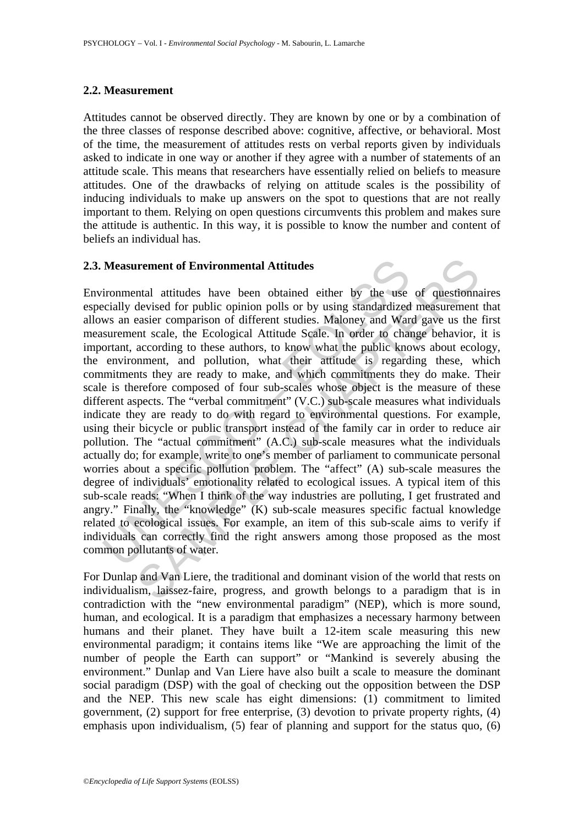#### **2.2. Measurement**

Attitudes cannot be observed directly. They are known by one or by a combination of the three classes of response described above: cognitive, affective, or behavioral. Most of the time, the measurement of attitudes rests on verbal reports given by individuals asked to indicate in one way or another if they agree with a number of statements of an attitude scale. This means that researchers have essentially relied on beliefs to measure attitudes. One of the drawbacks of relying on attitude scales is the possibility of inducing individuals to make up answers on the spot to questions that are not really important to them. Relying on open questions circumvents this problem and makes sure the attitude is authentic. In this way, it is possible to know the number and content of beliefs an individual has.

#### **2.3. Measurement of Environmental Attitudes**

Measurement of Environmental Attitudes<br>ironmental attitudes<br>cically devised for public opinion polls or by using standardized<br>ws an easier comparison of different studies. Maloney and War<br>surement scale, the Ecological Att **IFERENT CONSTRANGE CONSTRANGES**<br> **EXECUTED:** The state polyton of the visit of the word of the measure and Varian devised for public opinion polls or by using standardized measurement<br>
reasier comparison of different stud Environmental attitudes have been obtained either by the use of questionnaires especially devised for public opinion polls or by using standardized measurement that allows an easier comparison of different studies. Maloney and Ward gave us the first measurement scale, the Ecological Attitude Scale. In order to change behavior, it is important, according to these authors, to know what the public knows about ecology, the environment, and pollution, what their attitude is regarding these, which commitments they are ready to make, and which commitments they do make. Their scale is therefore composed of four sub-scales whose object is the measure of these different aspects. The "verbal commitment" (V.C.) sub-scale measures what individuals indicate they are ready to do with regard to environmental questions. For example, using their bicycle or public transport instead of the family car in order to reduce air pollution. The "actual commitment" (A.C.) sub-scale measures what the individuals actually do; for example, write to one's member of parliament to communicate personal worries about a specific pollution problem. The "affect" (A) sub-scale measures the degree of individuals' emotionality related to ecological issues. A typical item of this sub-scale reads: "When I think of the way industries are polluting, I get frustrated and angry." Finally, the "knowledge" (K) sub-scale measures specific factual knowledge related to ecological issues. For example, an item of this sub-scale aims to verify if individuals can correctly find the right answers among those proposed as the most common pollutants of water.

For Dunlap and Van Liere, the traditional and dominant vision of the world that rests on individualism, laissez-faire, progress, and growth belongs to a paradigm that is in contradiction with the "new environmental paradigm" (NEP), which is more sound, human, and ecological. It is a paradigm that emphasizes a necessary harmony between humans and their planet. They have built a 12-item scale measuring this new environmental paradigm; it contains items like "We are approaching the limit of the number of people the Earth can support" or "Mankind is severely abusing the environment." Dunlap and Van Liere have also built a scale to measure the dominant social paradigm (DSP) with the goal of checking out the opposition between the DSP and the NEP. This new scale has eight dimensions: (1) commitment to limited government, (2) support for free enterprise, (3) devotion to private property rights, (4) emphasis upon individualism, (5) fear of planning and support for the status quo, (6)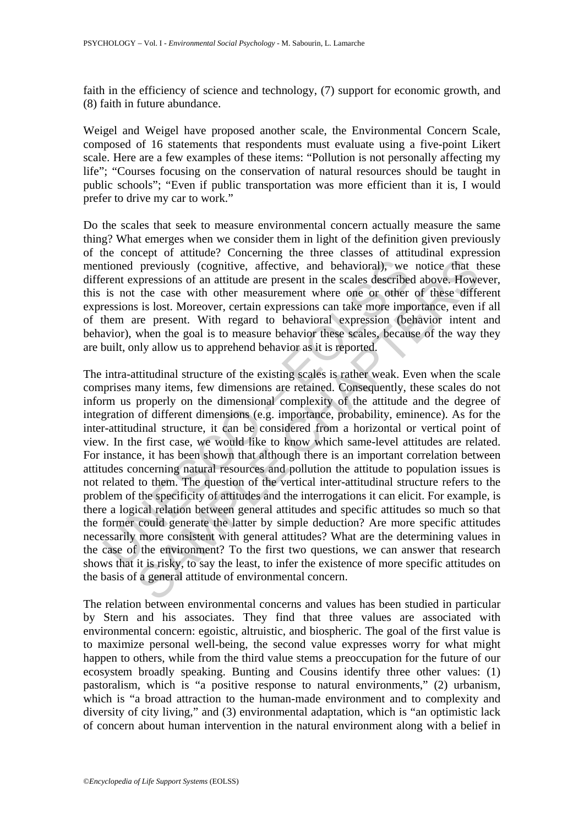faith in the efficiency of science and technology, (7) support for economic growth, and (8) faith in future abundance.

Weigel and Weigel have proposed another scale, the Environmental Concern Scale, composed of 16 statements that respondents must evaluate using a five-point Likert scale. Here are a few examples of these items: "Pollution is not personally affecting my life"; "Courses focusing on the conservation of natural resources should be taught in public schools"; "Even if public transportation was more efficient than it is, I would prefer to drive my car to work."

Do the scales that seek to measure environmental concern actually measure the same thing? What emerges when we consider them in light of the definition given previously of the concept of attitude? Concerning the three classes of attitudinal expression mentioned previously (cognitive, affective, and behavioral), we notice that these different expressions of an attitude are present in the scales described above. However, this is not the case with other measurement where one or other of these different expressions is lost. Moreover, certain expressions can take more importance, even if all of them are present. With regard to behavioral expression (behavior intent and behavior), when the goal is to measure behavior these scales, because of the way they are built, only allow us to apprehend behavior as it is reported.

tioned previously (cognitive, affective, and behavioral), we<br>rent expressions of an attitude are present in the scales describe<br>is not the case with other measurement where one or other<br>ressions is lost. Moreover, certain previously (cognitive, affective, and behavioral), we notice that the cases of an attitude are present in the scales described above. However, the case with other measurement where one or other of these different is lost. The intra-attitudinal structure of the existing scales is rather weak. Even when the scale comprises many items, few dimensions are retained. Consequently, these scales do not inform us properly on the dimensional complexity of the attitude and the degree of integration of different dimensions (e.g. importance, probability, eminence). As for the inter-attitudinal structure, it can be considered from a horizontal or vertical point of view. In the first case, we would like to know which same-level attitudes are related. For instance, it has been shown that although there is an important correlation between attitudes concerning natural resources and pollution the attitude to population issues is not related to them. The question of the vertical inter-attitudinal structure refers to the problem of the specificity of attitudes and the interrogations it can elicit. For example, is there a logical relation between general attitudes and specific attitudes so much so that the former could generate the latter by simple deduction? Are more specific attitudes necessarily more consistent with general attitudes? What are the determining values in the case of the environment? To the first two questions, we can answer that research shows that it is risky, to say the least, to infer the existence of more specific attitudes on the basis of a general attitude of environmental concern.

The relation between environmental concerns and values has been studied in particular by Stern and his associates. They find that three values are associated with environmental concern: egoistic, altruistic, and biospheric. The goal of the first value is to maximize personal well-being, the second value expresses worry for what might happen to others, while from the third value stems a preoccupation for the future of our ecosystem broadly speaking. Bunting and Cousins identify three other values: (1) pastoralism, which is "a positive response to natural environments," (2) urbanism, which is "a broad attraction to the human-made environment and to complexity and diversity of city living," and (3) environmental adaptation, which is "an optimistic lack of concern about human intervention in the natural environment along with a belief in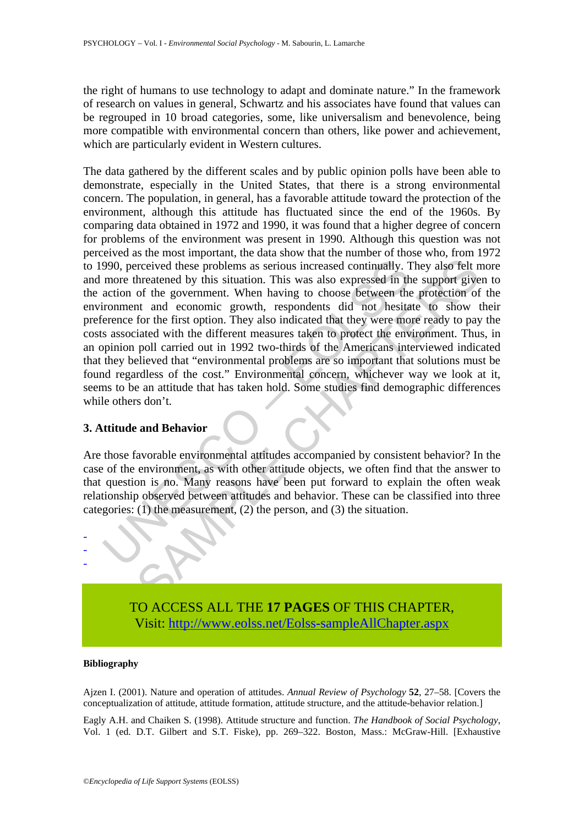the right of humans to use technology to adapt and dominate nature." In the framework of research on values in general, Schwartz and his associates have found that values can be regrouped in 10 broad categories, some, like universalism and benevolence, being more compatible with environmental concern than others, like power and achievement, which are particularly evident in Western cultures.

990, perceived these problems as serious increased continually. T<br>more threatened by this situation. This was also expressed in th<br>action of the government. When having to choose between the<br>irenence for the first option. received these problems as serious increased continually. They also felt networth the problems as serious increased continually. They also felt networth from having to choose between the protection of the government. When The data gathered by the different scales and by public opinion polls have been able to demonstrate, especially in the United States, that there is a strong environmental concern. The population, in general, has a favorable attitude toward the protection of the environment, although this attitude has fluctuated since the end of the 1960s. By comparing data obtained in 1972 and 1990, it was found that a higher degree of concern for problems of the environment was present in 1990. Although this question was not perceived as the most important, the data show that the number of those who, from 1972 to 1990, perceived these problems as serious increased continually. They also felt more and more threatened by this situation. This was also expressed in the support given to the action of the government. When having to choose between the protection of the environment and economic growth, respondents did not hesitate to show their preference for the first option. They also indicated that they were more ready to pay the costs associated with the different measures taken to protect the environment. Thus, in an opinion poll carried out in 1992 two-thirds of the Americans interviewed indicated that they believed that "environmental problems are so important that solutions must be found regardless of the cost." Environmental concern, whichever way we look at it, seems to be an attitude that has taken hold. Some studies find demographic differences while others don't.

#### **3. Attitude and Behavior**

Are those favorable environmental attitudes accompanied by consistent behavior? In the case of the environment, as with other attitude objects, we often find that the answer to that question is no. Many reasons have been put forward to explain the often weak relationship observed between attitudes and behavior. These can be classified into three categories: (1) the measurement, (2) the person, and (3) the situation.



TO ACCESS ALL THE **17 PAGES** OF THIS CHAPTER, Visi[t: http://www.eolss.net/Eolss-sampleAllChapter.aspx](https://www.eolss.net/ebooklib/sc_cart.aspx?File=E6-27-01-08)

#### **Bibliography**

Ajzen I. (2001). Nature and operation of attitudes. *Annual Review of Psychology* **52**, 27–58. [Covers the conceptualization of attitude, attitude formation, attitude structure, and the attitude-behavior relation.]

Eagly A.H. and Chaiken S. (1998). Attitude structure and function. *The Handbook of Social Psychology*, Vol. 1 (ed. D.T. Gilbert and S.T. Fiske), pp. 269–322. Boston, Mass.: McGraw-Hill. [Exhaustive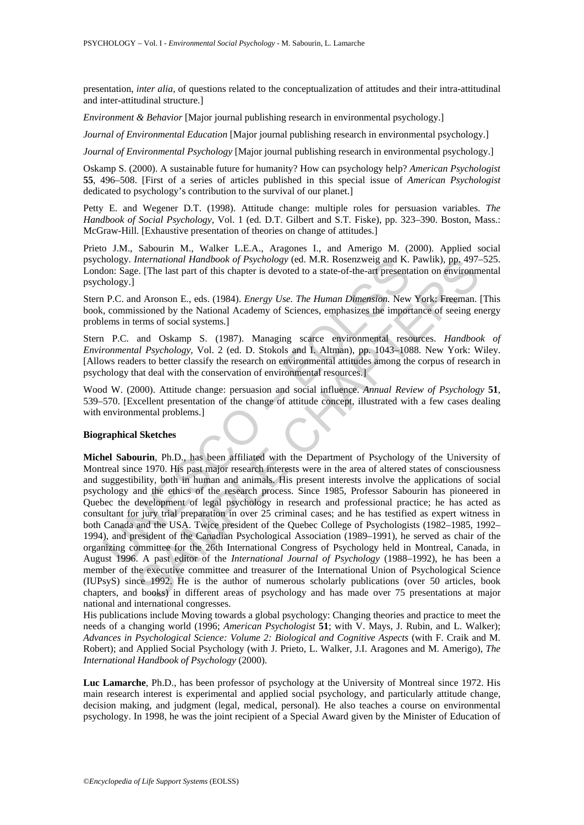presentation, *inter alia*, of questions related to the conceptualization of attitudes and their intra-attitudinal and inter-attitudinal structure.]

*Environment & Behavior* [Major journal publishing research in environmental psychology.]

*Journal of Environmental Education* [Major journal publishing research in environmental psychology.]

*Journal of Environmental Psychology* [Major journal publishing research in environmental psychology.]

Oskamp S. (2000). A sustainable future for humanity? How can psychology help? *American Psychologist* **55**, 496–508. [First of a series of articles published in this special issue of *American Psychologist* dedicated to psychology's contribution to the survival of our planet.]

Petty E. and Wegener D.T. (1998). Attitude change: multiple roles for persuasion variables. *The Handbook of Social Psychology,* Vol. 1 (ed. D.T. Gilbert and S.T. Fiske), pp. 323–390. Boston, Mass.: McGraw-Hill. [Exhaustive presentation of theories on change of attitudes.]

Prieto J.M., Sabourin M., Walker L.E.A., Aragones I., and Amerigo M. (2000). Applied social psychology. *International Handbook of Psychology* (ed. M.R. Rosenzweig and K. Pawlik), pp. 497–525. London: Sage. [The last part of this chapter is devoted to a state-of-the-art presentation on environmental psychology.]

Stern P.C. and Aronson E., eds. (1984). *Energy Use. The Human Dimension.* New York: Freeman. [This book, commissioned by the National Academy of Sciences, emphasizes the importance of seeing energy problems in terms of social systems.]

Stern P.C. and Oskamp S. (1987). Managing scarce environmental resources. *Handbook of Environmental Psychology,* Vol. 2 (ed. D. Stokols and I. Altman), pp. 1043–1088. New York: Wiley. [Allows readers to better classify the research on environmental attitudes among the corpus of research in psychology that deal with the conservation of environmental resources.]

Wood W. (2000). Attitude change: persuasion and social influence. *Annual Review of Psychology* **51**, 539–570. [Excellent presentation of the change of attitude concept, illustrated with a few cases dealing with environmental problems.]

#### **Biographical Sketches**

hology. *International Handbook of Psychology* (ed. M.R. Rosenzweig and K.<br>
biology.]<br>
Ibn: Sage. [The last part of this chapter is devoted to a state-of-the-art present<br>
biology.]<br>
P.C. and Aronson E., eds. (1984). *Energ* International Handbook of Psychology (ed. M.R. Rosenzweig and K. Pawik), pp. 497-<br>
I. (The last part of this chapter is devoted to a state-of-the-art presentation on environm<br>
ad Aronson E., cds. (1984). *Energy Use. The H* **Michel Sabourin**, Ph.D., has been affiliated with the Department of Psychology of the University of Montreal since 1970. His past major research interests were in the area of altered states of consciousness and suggestibility, both in human and animals. His present interests involve the applications of social psychology and the ethics of the research process. Since 1985, Professor Sabourin has pioneered in Quebec the development of legal psychology in research and professional practice; he has acted as consultant for jury trial preparation in over 25 criminal cases; and he has testified as expert witness in both Canada and the USA. Twice president of the Quebec College of Psychologists (1982–1985, 1992– 1994), and president of the Canadian Psychological Association (1989–1991), he served as chair of the organizing committee for the 26th International Congress of Psychology held in Montreal, Canada, in August 1996. A past editor of the *International Journal of Psychology* (1988–1992), he has been a member of the executive committee and treasurer of the International Union of Psychological Science (IUPsyS) since 1992. He is the author of numerous scholarly publications (over 50 articles, book chapters, and books) in different areas of psychology and has made over 75 presentations at major national and international congresses.

His publications include Moving towards a global psychology: Changing theories and practice to meet the needs of a changing world (1996; *American Psychologist* **51**; with V. Mays, J. Rubin, and L. Walker); *Advances in Psychological Science: Volume 2: Biological and Cognitive Aspects* (with F. Craik and M. Robert); and Applied Social Psychology (with J. Prieto, L. Walker, J.I. Aragones and M. Amerigo), *The International Handbook of Psychology* (2000).

**Luc Lamarche**, Ph.D., has been professor of psychology at the University of Montreal since 1972. His main research interest is experimental and applied social psychology, and particularly attitude change, decision making, and judgment (legal, medical, personal). He also teaches a course on environmental psychology. In 1998, he was the joint recipient of a Special Award given by the Minister of Education of